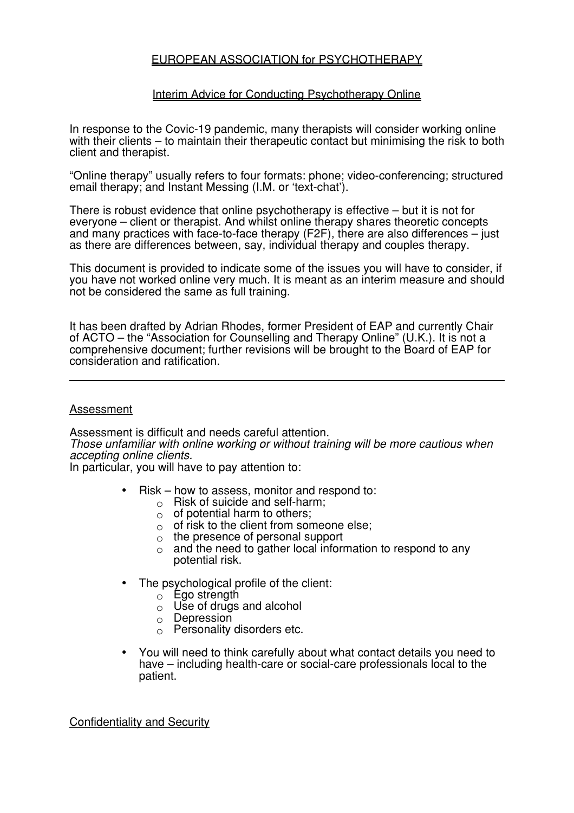## EUROPEAN ASSOCIATION for PSYCHOTHERAPY

#### Interim Advice for Conducting Psychotherapy Online

In response to the Covic-19 pandemic, many therapists will consider working online with their clients – to maintain their therapeutic contact but minimising the risk to both client and therapist.

"Online therapy" usually refers to four formats: phone; video-conferencing; structured email therapy; and Instant Messing (I.M. or 'text-chat').

There is robust evidence that online psychotherapy is effective – but it is not for everyone – client or therapist. And whilst online therapy shares theoretic concepts and many practices with face-to-face therapy (F2F), there are also differences – just as there are differences between, say, individual therapy and couples therapy.

This document is provided to indicate some of the issues you will have to consider, if you have not worked online very much. It is meant as an interim measure and should not be considered the same as full training.

It has been drafted by Adrian Rhodes, former President of EAP and currently Chair of ACTO – the "Association for Counselling and Therapy Online" (U.K.). It is not a comprehensive document; further revisions will be brought to the Board of EAP for consideration and ratification.

#### Assessment

Assessment is difficult and needs careful attention.

*Those unfamiliar with online working or without training will be more cautious when accepting online clients.* 

In particular, you will have to pay attention to:

- $Risk how to assess, monitor and respond to:$ 
	- $\circ$  Risk of suicide and self-harm;
	- $\circ$  of potential harm to others;
	- $\circ$  of risk to the client from someone else;
	- $\circ$  the presence of personal support
	- $\circ$  and the need to gather local information to respond to any potential risk.
- The psychological profile of the client:
	- $\circ$  Ego strength
	- $\circ$  Use of drugs and alcohol
	- o Depression
	- $\circ$  Personality disorders etc.
- You will need to think carefully about what contact details you need to have – including health-care or social-care professionals local to the patient.

Confidentiality and Security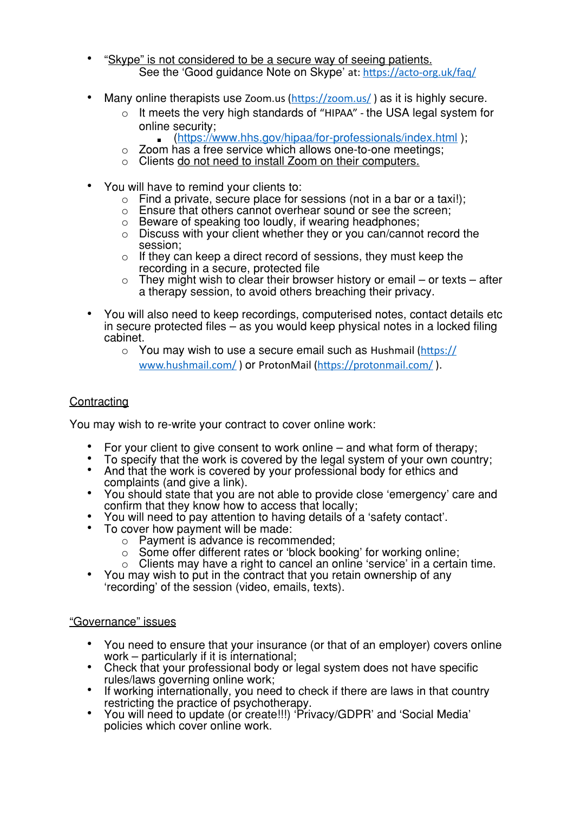- "Skype" is not considered to be a secure way of seeing patients. See the 'Good guidance Note on Skype' at: https://acto-org.uk/faq/
- Many online therapists use Zoom.us  $(https://zoom.us/ )$  as it is highly secure.
	- o It meets the very high standards of "HIPAA" the USA legal system for online security;
		- (<https://www.hhs.gov/hipaa/for-professionals/index.html>);
	- o Zoom has a free service which allows one-to-one meetings;
	- o Clients do not need to install Zoom on their computers.
- You will have to remind your clients to:
	- $\circ$  Find a private, secure place for sessions (not in a bar or a taxi!);
	- o Ensure that others cannot overhear sound or see the screen;
	- o Beware of speaking too loudly, if wearing headphones;
	- $\circ$  Discuss with your client whether they or you can/cannot record the session;
	- $\circ$  If they can keep a direct record of sessions, they must keep the recording in a secure, protected file
	- $\circ$  They might wish to clear their browser history or email or texts after a therapy session, to avoid others breaching their privacy.
- You will also need to keep recordings, computerised notes, contact details etc in secure protected files – as you would keep physical notes in a locked filing cabinet.
	- $\circ$  You may wish to use a secure email such as Hushmail (https:// [www.hushmail.com/](https://www.hushmail.com/) ) or ProtonMail (https://protonmail.com/ ).

# **Contracting**

You may wish to re-write your contract to cover online work:

- 
- 
- For your client to give consent to work online and what form of therapy;<br>• To specify that the work is covered by the legal system of your own country;<br>• And that the work is covered by your professional body for ethic
- You should state that you are not able to provide close 'emergency' care and confirm that they know how to access that locally;
- You will need to pay attention to having details of a 'safety contact'.<br>To cover how payment will be made:
- - o Payment is advance is recommended;
	-
	- o Some offer different rates or 'block booking' for working online;<br>○ Clients may have a right to cancel an online 'service' in a certain time.
- You may wish to put in the contract that you retain ownership of any 'recording' of the session (video, emails, texts).

### "Governance" issues

- You need to ensure that your insurance (or that of an employer) covers online work particularly if it is international;
- Check that your professional body or legal system does not have specific rules/laws governing online work:
- If working internationally, you need to check if there are laws in that country restricting the practice of psychotherapy.
- You will need to update (or create!!!) 'Privacy/GDPR' and 'Social Media' policies which cover online work.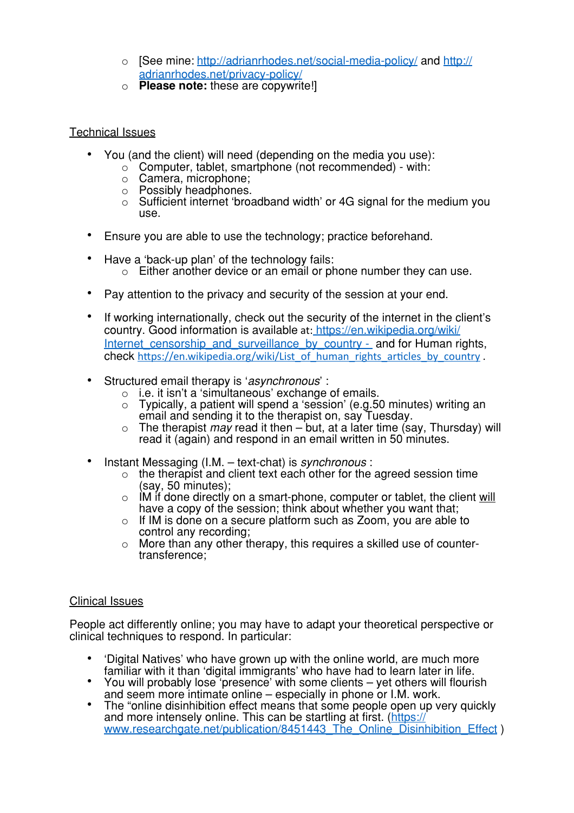- o [See mine: <http://adrianrhodes.net/social-media-policy/>and [http://](http://adrianrhodes.net/privacy-policy/) [adrianrhodes.net/privacy-policy/](http://adrianrhodes.net/privacy-policy/)
- o **Please note:** these are copywrite!]

## Technical Issues

- You (and the client) will need (depending on the media you use):
	- $\circ$  Computer, tablet, smartphone (not recommended) with:
	- o Camera, microphone;
	- o Possibly headphones.
	- o Sufficient internet 'broadband width' or 4G signal for the medium you use.
- Ensure you are able to use the technology; practice beforehand.
- Have a 'back-up plan' of the technology fails:  $\circ$  Either another device or an email or phone number they can use.
- Pay attention to the privacy and security of the session at your end.
- If working internationally, check out the security of the internet in the client's country. Good information is available at: [https://en.wikipedia.org/wiki/](https://en.wikipedia.org/wiki/Internet_censorship_and_surveillance_by_country) Internet censorship and surveillance by country - and for Human rights, check https://en.wikipedia.org/wiki/List\_of\_human\_rights\_articles\_by\_country .
- Structured email therapy is '*asynchronous*' :
	- o i.e. it isn't a 'simultaneous' exchange of emails.
	- o Typically, a patient will spend a 'session' (e.g.50 minutes) writing an email and sending it to the therapist on, say Tuesday.
	- o The therapist *may* read it then but, at a later time (say, Thursday) will read it (again) and respond in an email written in 50 minutes.
- Instant Messaging (I.M. text-chat) is *synchronous* :
	- $\circ$  the therapist and client text each other for the agreed session time (say, 50 minutes);
	- $\circ$  IM if done directly on a smart-phone, computer or tablet, the client will have a copy of the session; think about whether you want that;
	- o If IM is done on a secure platform such as Zoom, you are able to control any recording;
	- $\circ$  More than any other therapy, this requires a skilled use of countertransference;

### Clinical Issues

People act differently online; you may have to adapt your theoretical perspective or clinical techniques to respond. In particular:

- 'Digital Natives' who have grown up with the online world, are much more
- familiar with increasing increasing with some clients yet others will flourish<br>and seem more intimate online especially in phone or l.M. work.
- The "online disinhibition effect means that some people open up very quickly and more intensely online. This can be startling at first. [\(https://](https://www.researchgate.net/publication/8451443_The_Online_Disinhibition_Effect) [www.researchgate.net/publication/8451443\\_The\\_Online\\_Disinhibition\\_Effect](https://www.researchgate.net/publication/8451443_The_Online_Disinhibition_Effect) )